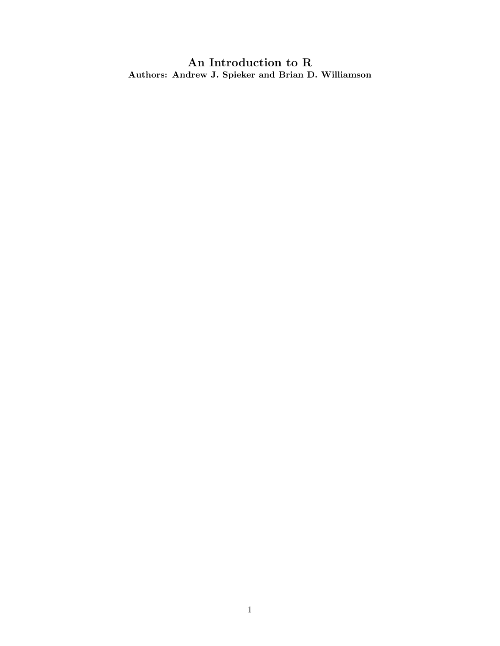An Introduction to R Authors: Andrew J. Spieker and Brian D. Williamson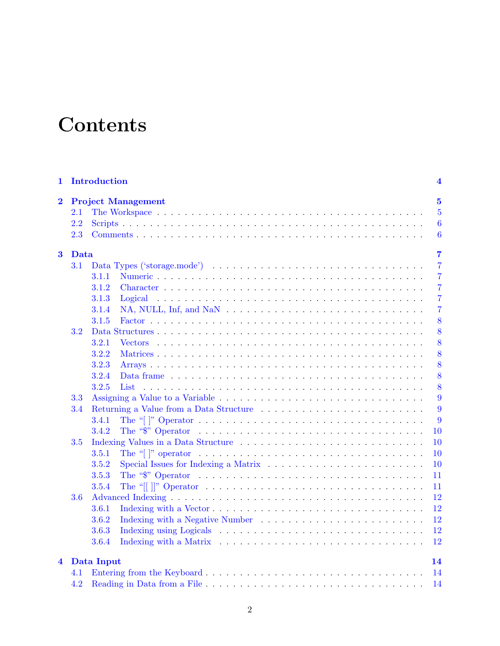# **Contents**

| 1                       |         | Introduction                                                                                                               | 4                |  |  |  |  |  |  |  |  |
|-------------------------|---------|----------------------------------------------------------------------------------------------------------------------------|------------------|--|--|--|--|--|--|--|--|
| $\overline{\mathbf{2}}$ |         | <b>Project Management</b>                                                                                                  |                  |  |  |  |  |  |  |  |  |
|                         | $2.1\,$ |                                                                                                                            | $\overline{5}$   |  |  |  |  |  |  |  |  |
|                         | 2.2     |                                                                                                                            | $\boldsymbol{6}$ |  |  |  |  |  |  |  |  |
|                         | 2.3     |                                                                                                                            | $\boldsymbol{6}$ |  |  |  |  |  |  |  |  |
| $\bf{3}$                |         | $\overline{7}$<br>Data                                                                                                     |                  |  |  |  |  |  |  |  |  |
|                         | 3.1     |                                                                                                                            | $\overline{7}$   |  |  |  |  |  |  |  |  |
|                         |         | 3.1.1                                                                                                                      | $\overline{7}$   |  |  |  |  |  |  |  |  |
|                         |         | 3.1.2                                                                                                                      | $\overline{7}$   |  |  |  |  |  |  |  |  |
|                         |         | 3.1.3                                                                                                                      | $\overline{7}$   |  |  |  |  |  |  |  |  |
|                         |         | 3.1.4                                                                                                                      | $\overline{7}$   |  |  |  |  |  |  |  |  |
|                         |         | 3.1.5                                                                                                                      | 8                |  |  |  |  |  |  |  |  |
|                         | 3.2     |                                                                                                                            | 8                |  |  |  |  |  |  |  |  |
|                         |         | 3.2.1                                                                                                                      | 8                |  |  |  |  |  |  |  |  |
|                         |         | 3.2.2                                                                                                                      | 8                |  |  |  |  |  |  |  |  |
|                         |         | 3.2.3                                                                                                                      | 8                |  |  |  |  |  |  |  |  |
|                         |         | 3.2.4                                                                                                                      | 8                |  |  |  |  |  |  |  |  |
|                         |         | 3.2.5<br>List                                                                                                              | 8                |  |  |  |  |  |  |  |  |
|                         | 3.3     |                                                                                                                            | 9                |  |  |  |  |  |  |  |  |
|                         | 3.4     |                                                                                                                            | 9                |  |  |  |  |  |  |  |  |
|                         |         | 3.4.1                                                                                                                      | 9                |  |  |  |  |  |  |  |  |
|                         |         | 3.4.2                                                                                                                      | 10               |  |  |  |  |  |  |  |  |
|                         | $3.5\,$ |                                                                                                                            | 10               |  |  |  |  |  |  |  |  |
|                         |         | 3.5.1<br>The "[]" operator $\dots \dots \dots \dots \dots \dots \dots \dots \dots \dots \dots \dots \dots \dots \dots$     | 10               |  |  |  |  |  |  |  |  |
|                         |         | 3.5.2                                                                                                                      | 10               |  |  |  |  |  |  |  |  |
|                         |         | 3.5.3                                                                                                                      | 11               |  |  |  |  |  |  |  |  |
|                         |         | 3.5.4<br>The "[[ ]]" Operator $\ldots \ldots \ldots \ldots \ldots \ldots \ldots \ldots \ldots \ldots \ldots \ldots \ldots$ | 11               |  |  |  |  |  |  |  |  |
|                         | 3.6     |                                                                                                                            | 12               |  |  |  |  |  |  |  |  |
|                         |         | 3.6.1                                                                                                                      | 12               |  |  |  |  |  |  |  |  |
|                         |         | 3.6.2                                                                                                                      | 12               |  |  |  |  |  |  |  |  |
|                         |         | 3.6.3                                                                                                                      | 12               |  |  |  |  |  |  |  |  |
|                         |         | 3.6.4                                                                                                                      | 12               |  |  |  |  |  |  |  |  |
| 4                       |         |                                                                                                                            | 14               |  |  |  |  |  |  |  |  |
|                         | 4.1     | Data Input                                                                                                                 |                  |  |  |  |  |  |  |  |  |
|                         | 4.2     |                                                                                                                            | 14<br>14         |  |  |  |  |  |  |  |  |
|                         |         |                                                                                                                            |                  |  |  |  |  |  |  |  |  |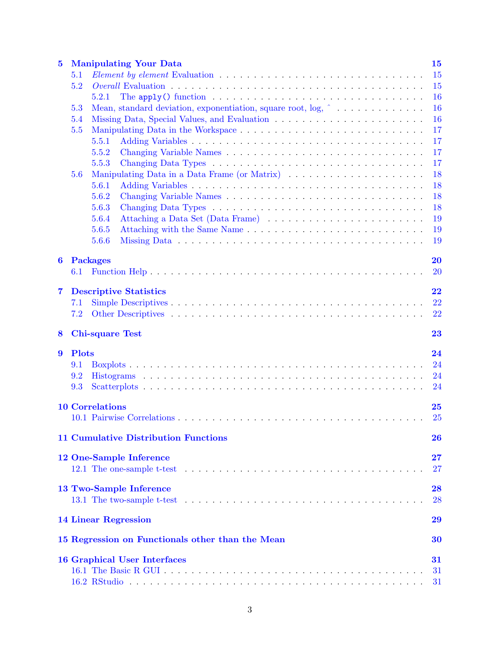| $\bf{5}$<br><b>Manipulating Your Data</b> |              |                        |                                                                                                      |            |  |  |  |  |  |  |  |
|-------------------------------------------|--------------|------------------------|------------------------------------------------------------------------------------------------------|------------|--|--|--|--|--|--|--|
|                                           | 5.1          | 15                     |                                                                                                      |            |  |  |  |  |  |  |  |
|                                           | 5.2          |                        |                                                                                                      | 15         |  |  |  |  |  |  |  |
|                                           |              | 5.2.1                  | The apply() function $\dots \dots \dots \dots \dots \dots \dots \dots \dots \dots \dots \dots \dots$ | 16         |  |  |  |  |  |  |  |
|                                           | 5.3          |                        | Mean, standard deviation, exponentiation, square root, $\log$ , $\hat{ }$                            | 16         |  |  |  |  |  |  |  |
|                                           | 5.4          | 16                     |                                                                                                      |            |  |  |  |  |  |  |  |
|                                           | 5.5          |                        |                                                                                                      | 17         |  |  |  |  |  |  |  |
|                                           |              | 5.5.1                  |                                                                                                      | 17         |  |  |  |  |  |  |  |
|                                           |              | 5.5.2                  |                                                                                                      | 17         |  |  |  |  |  |  |  |
|                                           |              | 5.5.3                  |                                                                                                      | 17         |  |  |  |  |  |  |  |
|                                           | 5.6          |                        |                                                                                                      | 18         |  |  |  |  |  |  |  |
|                                           |              | 5.6.1                  |                                                                                                      | 18         |  |  |  |  |  |  |  |
|                                           |              | 5.6.2                  |                                                                                                      | 18         |  |  |  |  |  |  |  |
|                                           |              | 5.6.3                  |                                                                                                      | 18         |  |  |  |  |  |  |  |
|                                           |              | 5.6.4                  |                                                                                                      | 19         |  |  |  |  |  |  |  |
|                                           |              | 5.6.5                  |                                                                                                      | 19         |  |  |  |  |  |  |  |
|                                           |              | 5.6.6                  |                                                                                                      | 19         |  |  |  |  |  |  |  |
|                                           |              |                        |                                                                                                      |            |  |  |  |  |  |  |  |
| 6                                         |              | <b>Packages</b>        |                                                                                                      | <b>20</b>  |  |  |  |  |  |  |  |
|                                           | 6.1          |                        |                                                                                                      | <b>20</b>  |  |  |  |  |  |  |  |
|                                           |              |                        |                                                                                                      |            |  |  |  |  |  |  |  |
| $\overline{\mathbf{7}}$                   |              |                        | <b>Descriptive Statistics</b>                                                                        | 22         |  |  |  |  |  |  |  |
|                                           | 7.1          |                        |                                                                                                      | 22         |  |  |  |  |  |  |  |
|                                           | $7.2\,$      |                        |                                                                                                      | 22         |  |  |  |  |  |  |  |
|                                           |              |                        |                                                                                                      |            |  |  |  |  |  |  |  |
|                                           |              |                        |                                                                                                      |            |  |  |  |  |  |  |  |
| 8                                         |              | <b>Chi-square Test</b> |                                                                                                      | 23         |  |  |  |  |  |  |  |
|                                           |              |                        |                                                                                                      |            |  |  |  |  |  |  |  |
| 9                                         | <b>Plots</b> |                        |                                                                                                      | 24         |  |  |  |  |  |  |  |
|                                           | 9.1          |                        |                                                                                                      | 24         |  |  |  |  |  |  |  |
|                                           | 9.2          |                        |                                                                                                      | 24         |  |  |  |  |  |  |  |
|                                           | 9.3          |                        |                                                                                                      | 24         |  |  |  |  |  |  |  |
|                                           |              |                        |                                                                                                      |            |  |  |  |  |  |  |  |
|                                           |              | <b>10 Correlations</b> |                                                                                                      | 25         |  |  |  |  |  |  |  |
|                                           |              |                        |                                                                                                      | <b>25</b>  |  |  |  |  |  |  |  |
|                                           |              |                        | <b>11 Cumulative Distribution Functions</b>                                                          | 26         |  |  |  |  |  |  |  |
|                                           |              |                        |                                                                                                      |            |  |  |  |  |  |  |  |
|                                           |              |                        | 12 One-Sample Inference                                                                              | ${\bf 27}$ |  |  |  |  |  |  |  |
|                                           |              |                        |                                                                                                      | 27         |  |  |  |  |  |  |  |
|                                           |              |                        |                                                                                                      |            |  |  |  |  |  |  |  |
|                                           |              |                        | 13 Two-Sample Inference                                                                              | 28         |  |  |  |  |  |  |  |
|                                           |              |                        |                                                                                                      | 28         |  |  |  |  |  |  |  |
|                                           |              |                        |                                                                                                      |            |  |  |  |  |  |  |  |
|                                           |              |                        | <b>14 Linear Regression</b>                                                                          | 29         |  |  |  |  |  |  |  |
|                                           |              |                        | 15 Regression on Functionals other than the Mean                                                     | 30         |  |  |  |  |  |  |  |
|                                           |              |                        |                                                                                                      |            |  |  |  |  |  |  |  |
|                                           |              |                        | <b>16 Graphical User Interfaces</b>                                                                  | 31         |  |  |  |  |  |  |  |
|                                           |              |                        |                                                                                                      | 31         |  |  |  |  |  |  |  |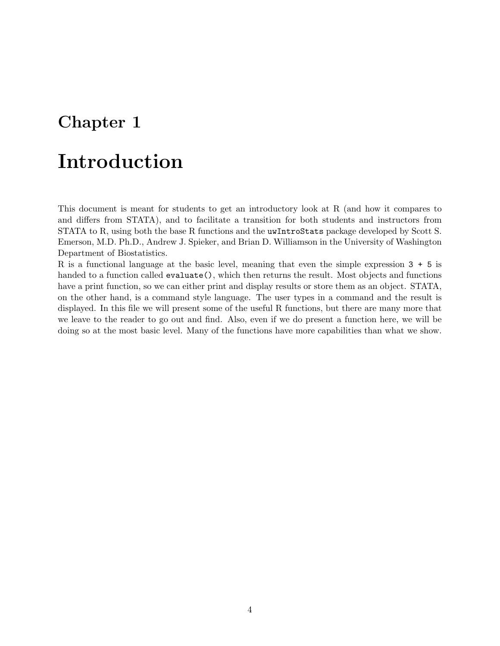# <span id="page-3-0"></span>Introduction

This document is meant for students to get an introductory look at R (and how it compares to and differs from STATA), and to facilitate a transition for both students and instructors from STATA to R, using both the base R functions and the uwIntroStats package developed by Scott S. Emerson, M.D. Ph.D., Andrew J. Spieker, and Brian D. Williamson in the University of Washington Department of Biostatistics.

R is a functional language at the basic level, meaning that even the simple expression 3 + 5 is handed to a function called evaluate(), which then returns the result. Most objects and functions have a print function, so we can either print and display results or store them as an object. STATA, on the other hand, is a command style language. The user types in a command and the result is displayed. In this file we will present some of the useful R functions, but there are many more that we leave to the reader to go out and find. Also, even if we do present a function here, we will be doing so at the most basic level. Many of the functions have more capabilities than what we show.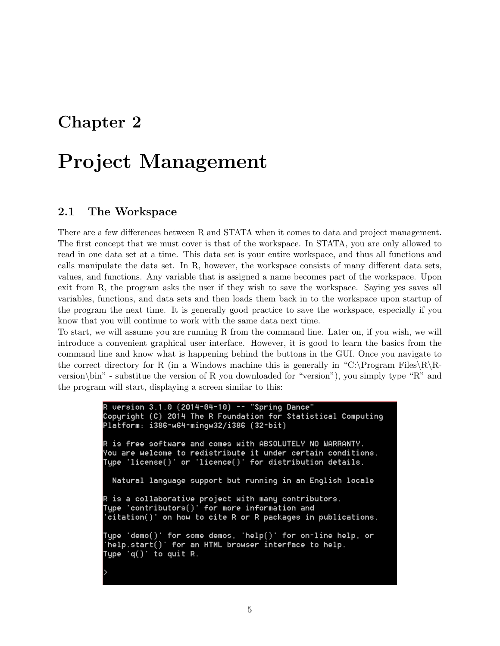# <span id="page-4-0"></span>Project Management

### <span id="page-4-1"></span>2.1 The Workspace

There are a few differences between R and STATA when it comes to data and project management. The first concept that we must cover is that of the workspace. In STATA, you are only allowed to read in one data set at a time. This data set is your entire workspace, and thus all functions and calls manipulate the data set. In R, however, the workspace consists of many different data sets, values, and functions. Any variable that is assigned a name becomes part of the workspace. Upon exit from R, the program asks the user if they wish to save the workspace. Saying yes saves all variables, functions, and data sets and then loads them back in to the workspace upon startup of the program the next time. It is generally good practice to save the workspace, especially if you know that you will continue to work with the same data next time.

To start, we will assume you are running R from the command line. Later on, if you wish, we will introduce a convenient graphical user interface. However, it is good to learn the basics from the command line and know what is happening behind the buttons in the GUI. Once you navigate to the correct directory for R (in a Windows machine this is generally in "C:\Program Files\R\Rversion\bin" - substitue the version of R you downloaded for "version"), you simply type "R" and the program will start, displaying a screen similar to this:

```
R version 3.1.0 (2014-04-10) -- "Spring Dance"
Copyright (C) 2014 The R Foundation for Statistical Computing
Platform: i386-w64-mingw32/i386 (32-bit)
R is free software and comes with ABSOLUTELY NO WARRANTY.
You are welcome to redistribute it under certain conditions.
Type 'license()' or 'licence()' for distribution details.
 Natural language support but running in an English locale
R is a collaborative project with many contributors.
Type 'contributors()' for more information and
 citation()' on how to cite R or R packages in publications.
Type 'demo()' for some demos, 'help()' for on-line help, or
'help.start()' for an HTML browser interface to help.
Type 'q() to quit R.
```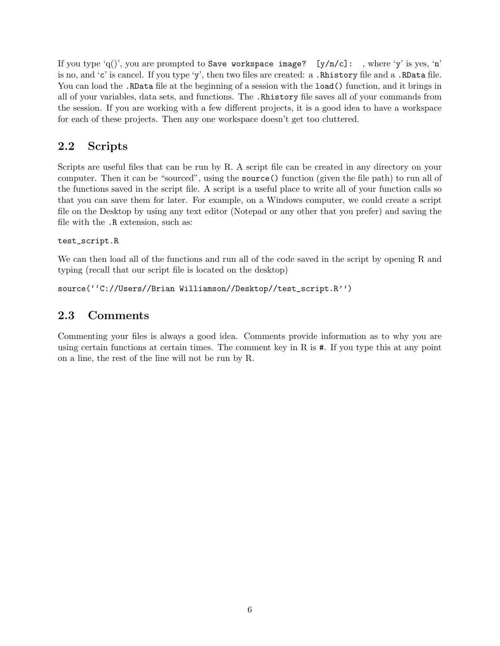If you type 'q()', you are prompted to Save workspace image? [y/n/c]: , where 'y' is yes, 'n' is no, and 'c' is cancel. If you type 'y', then two files are created: a .Rhistory file and a .RData file. You can load the .RData file at the beginning of a session with the load() function, and it brings in all of your variables, data sets, and functions. The .Rhistory file saves all of your commands from the session. If you are working with a few different projects, it is a good idea to have a workspace for each of these projects. Then any one workspace doesn't get too cluttered.

### <span id="page-5-0"></span>2.2 Scripts

Scripts are useful files that can be run by R. A script file can be created in any directory on your computer. Then it can be "sourced", using the source() function (given the file path) to run all of the functions saved in the script file. A script is a useful place to write all of your function calls so that you can save them for later. For example, on a Windows computer, we could create a script file on the Desktop by using any text editor (Notepad or any other that you prefer) and saving the file with the .R extension, such as:

#### test\_script.R

We can then load all of the functions and run all of the code saved in the script by opening R and typing (recall that our script file is located on the desktop)

source(''C://Users//Brian Williamson//Desktop//test\_script.R'')

### <span id="page-5-1"></span>2.3 Comments

Commenting your files is always a good idea. Comments provide information as to why you are using certain functions at certain times. The comment key in R is #. If you type this at any point on a line, the rest of the line will not be run by R.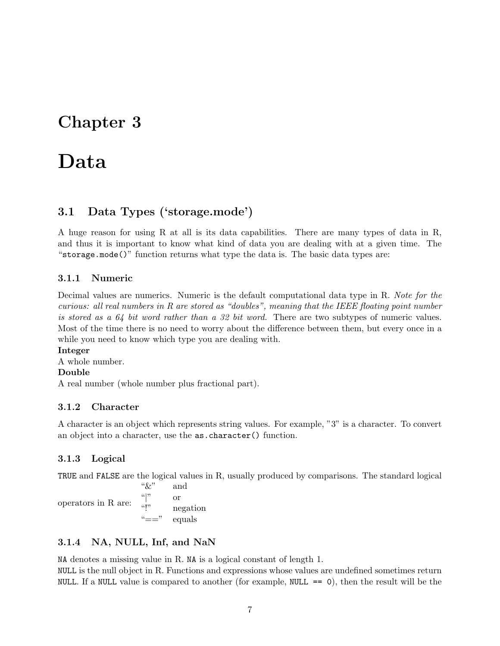# <span id="page-6-0"></span>Data

### <span id="page-6-1"></span>3.1 Data Types ('storage.mode')

A huge reason for using R at all is its data capabilities. There are many types of data in R, and thus it is important to know what kind of data you are dealing with at a given time. The "storage.mode()" function returns what type the data is. The basic data types are:

#### <span id="page-6-2"></span>3.1.1 Numeric

Decimal values are numerics. Numeric is the default computational data type in R. Note for the curious: all real numbers in R are stored as "doubles", meaning that the IEEE floating point number is stored as a  $64$  bit word rather than a 32 bit word. There are two subtypes of numeric values. Most of the time there is no need to worry about the difference between them, but every once in a while you need to know which type you are dealing with.

#### Integer

A whole number.

### Double

A real number (whole number plus fractional part).

#### <span id="page-6-3"></span>3.1.2 Character

A character is an object which represents string values. For example, "3" is a character. To convert an object into a character, use the as.character() function.

#### <span id="page-6-4"></span>3.1.3 Logical

TRUE and FALSE are the logical values in R, usually produced by comparisons. The standard logical

operators in R are: " $\&$ " and  $\binom{a}{v}$  or "!" negation equals

#### <span id="page-6-5"></span>3.1.4 NA, NULL, Inf, and NaN

NA denotes a missing value in R. NA is a logical constant of length 1.

NULL is the null object in R. Functions and expressions whose values are undefined sometimes return NULL. If a NULL value is compared to another (for example,  $NULL == 0)$ , then the result will be the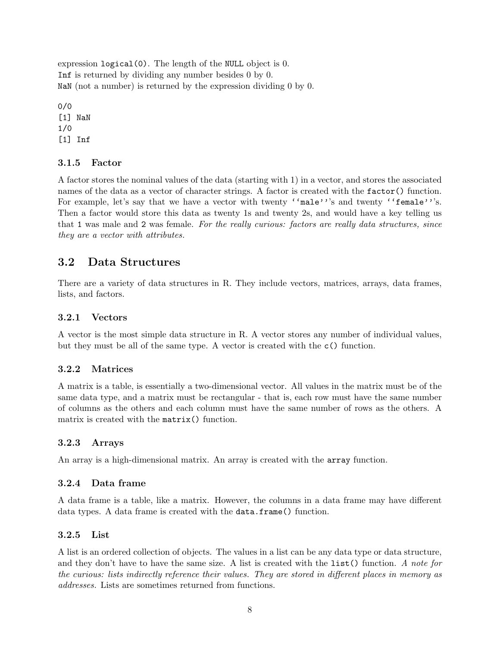expression logical(0). The length of the NULL object is 0. Inf is returned by dividing any number besides 0 by 0. NaN (not a number) is returned by the expression dividing 0 by 0.

0/0 [1] NaN 1/0 [1] Inf

#### <span id="page-7-0"></span>3.1.5 Factor

A factor stores the nominal values of the data (starting with 1) in a vector, and stores the associated names of the data as a vector of character strings. A factor is created with the factor() function. For example, let's say that we have a vector with twenty ''male'''s and twenty ''female'''s. Then a factor would store this data as twenty 1s and twenty 2s, and would have a key telling us that 1 was male and 2 was female. For the really curious: factors are really data structures, since they are a vector with attributes.

### <span id="page-7-1"></span>3.2 Data Structures

There are a variety of data structures in R. They include vectors, matrices, arrays, data frames, lists, and factors.

#### <span id="page-7-2"></span>3.2.1 Vectors

A vector is the most simple data structure in R. A vector stores any number of individual values, but they must be all of the same type. A vector is created with the c() function.

#### <span id="page-7-3"></span>3.2.2 Matrices

A matrix is a table, is essentially a two-dimensional vector. All values in the matrix must be of the same data type, and a matrix must be rectangular - that is, each row must have the same number of columns as the others and each column must have the same number of rows as the others. A matrix is created with the matrix() function.

#### <span id="page-7-4"></span>3.2.3 Arrays

An array is a high-dimensional matrix. An array is created with the array function.

#### <span id="page-7-5"></span>3.2.4 Data frame

A data frame is a table, like a matrix. However, the columns in a data frame may have different data types. A data frame is created with the data.frame() function.

#### <span id="page-7-6"></span>3.2.5 List

A list is an ordered collection of objects. The values in a list can be any data type or data structure, and they don't have to have the same size. A list is created with the list() function. A note for the curious: lists indirectly reference their values. They are stored in different places in memory as addresses. Lists are sometimes returned from functions.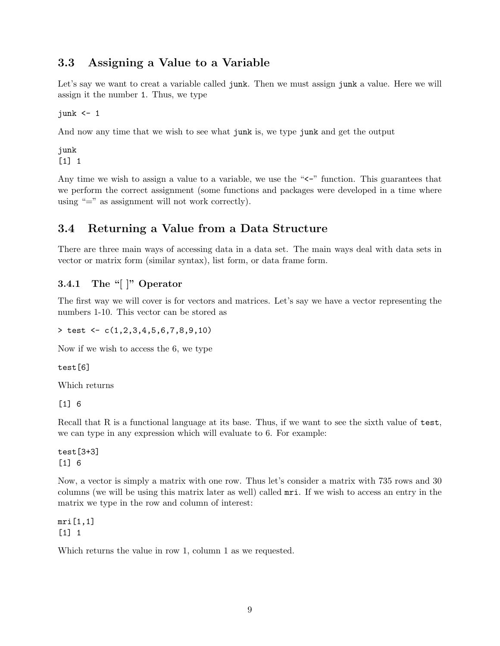### <span id="page-8-0"></span>3.3 Assigning a Value to a Variable

Let's say we want to creat a variable called junk. Then we must assign junk a value. Here we will assign it the number 1. Thus, we type

junk  $\leq -1$ 

And now any time that we wish to see what junk is, we type junk and get the output

junk [1] 1

Any time we wish to assign a value to a variable, we use the " $\lt$ -" function. This guarantees that we perform the correct assignment (some functions and packages were developed in a time where using " $=$ " as assignment will not work correctly).

### <span id="page-8-1"></span>3.4 Returning a Value from a Data Structure

There are three main ways of accessing data in a data set. The main ways deal with data sets in vector or matrix form (similar syntax), list form, or data frame form.

#### <span id="page-8-2"></span>3.4.1 The "[ ]" Operator

The first way we will cover is for vectors and matrices. Let's say we have a vector representing the numbers 1-10. This vector can be stored as

 $>$  test  $<-c(1,2,3,4,5,6,7,8,9,10)$ 

Now if we wish to access the 6, we type

test[6]

Which returns

[1] 6

Recall that R is a functional language at its base. Thus, if we want to see the sixth value of test, we can type in any expression which will evaluate to 6. For example:

test[3+3] [1] 6

Now, a vector is simply a matrix with one row. Thus let's consider a matrix with 735 rows and 30 columns (we will be using this matrix later as well) called mri. If we wish to access an entry in the matrix we type in the row and column of interest:

mri[1,1] [1] 1

Which returns the value in row 1, column 1 as we requested.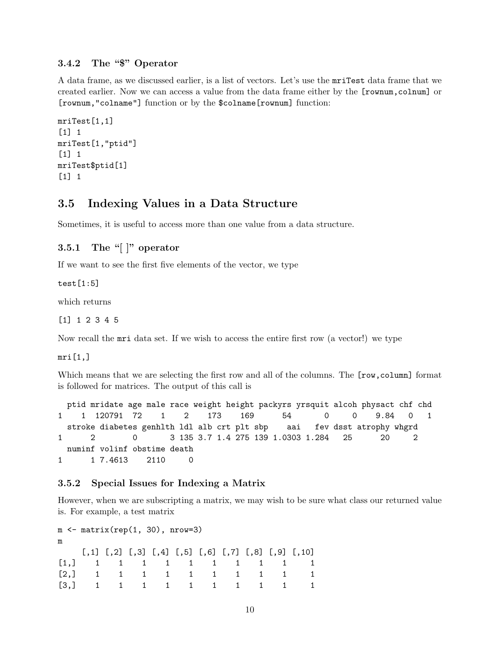#### <span id="page-9-0"></span>3.4.2 The "\$" Operator

A data frame, as we discussed earlier, is a list of vectors. Let's use the mriTest data frame that we created earlier. Now we can access a value from the data frame either by the [rownum,colnum] or [rownum,"colname"] function or by the \$colname[rownum] function:

```
mriTest[1,1]
[1] 1
mriTest[1,"ptid"]
[1] 1
mriTest$ptid[1]
\begin{bmatrix} 1 \end{bmatrix} 1
```
### <span id="page-9-1"></span>3.5 Indexing Values in a Data Structure

Sometimes, it is useful to access more than one value from a data structure.

#### <span id="page-9-2"></span>3.5.1 The "[ $\vert$ " operator

If we want to see the first five elements of the vector, we type

test[1:5]

which returns

#### [1] 1 2 3 4 5

Now recall the mri data set. If we wish to access the entire first row (a vector!) we type

 $mri[1,]$ 

Which means that we are selecting the first row and all of the columns. The  $[row,column]$  format is followed for matrices. The output of this call is

ptid mridate age male race weight height packyrs yrsquit alcoh physact chf chd 1 1 120791 72 1 2 173 169 54 0 0 9.84 0 1 stroke diabetes genhlth ldl alb crt plt sbp aai fev dsst atrophy whgrd 1 2 0 3 135 3.7 1.4 275 139 1.0303 1.284 25 20 2 numinf volinf obstime death 1 1 7.4613 2110 0

#### <span id="page-9-3"></span>3.5.2 Special Issues for Indexing a Matrix

However, when we are subscripting a matrix, we may wish to be sure what class our returned value is. For example, a test matrix

```
m \leftarrow matrix(rep(1, 30), nrow=3)m
   [,1] [,2] [,3] [,4] [,5] [,6] [,7] [,8] [,9] [,10]
[1,] 1 1 1 1 1 1 1 1 1 1
[2,] 1 1 1 1 1 1 1 1 1 1
[3,] 1 1 1 1 1 1 1 1 1 1
```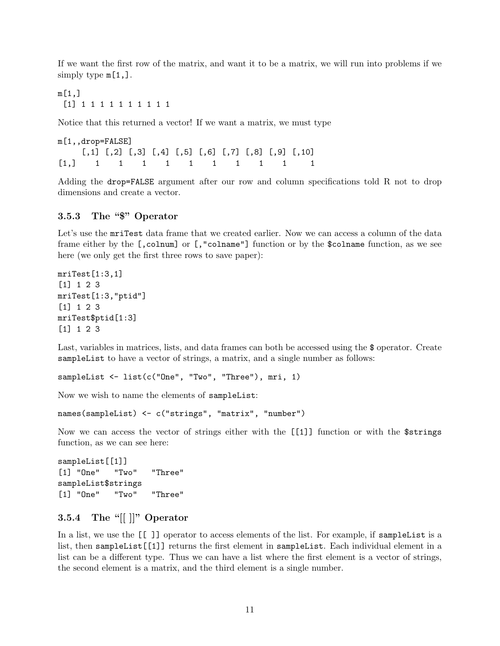If we want the first row of the matrix, and want it to be a matrix, we will run into problems if we simply type  $m[1,].$ 

m[1,] [1] 1 1 1 1 1 1 1 1 1 1

Notice that this returned a vector! If we want a matrix, we must type

m[1,,drop=FALSE]  $[$ ,1]  $[$ ,2]  $[$ ,3]  $[$ ,4]  $[$ ,5]  $[$ ,6]  $[$ ,7]  $[$ ,8]  $[$ ,9]  $[$ ,10] [1,] 1 1 1 1 1 1 1 1 1 1

Adding the drop=FALSE argument after our row and column specifications told R not to drop dimensions and create a vector.

#### <span id="page-10-0"></span>3.5.3 The "\$" Operator

Let's use the mriTest data frame that we created earlier. Now we can access a column of the data frame either by the [,colnum] or [,"colname"] function or by the \$colname function, as we see here (we only get the first three rows to save paper):

```
mriTest[1:3,1]
[1] 1 2 3
mriTest[1:3,"ptid"]
[1] 1 2 3
mriTest$ptid[1:3]
[1] 1 2 3
```
Last, variables in matrices, lists, and data frames can both be accessed using the \$ operator. Create sampleList to have a vector of strings, a matrix, and a single number as follows:

```
sampleList <- list(c("One", "Two", "Three"), mri, 1)
```
Now we wish to name the elements of sampleList:

```
names(sampleList) <- c("strings", "matrix", "number")
```
Now we can access the vector of strings either with the [[1]] function or with the \$strings function, as we can see here:

sampleList[[1]] [1] "One" "Two" "Three" sampleList\$strings [1] "One" "Two" "Three"

#### <span id="page-10-1"></span>3.5.4 The "[[ ]]" Operator

In a list, we use the [[ ]] operator to access elements of the list. For example, if sampleList is a list, then sampleList[[1]] returns the first element in sampleList. Each individual element in a list can be a different type. Thus we can have a list where the first element is a vector of strings, the second element is a matrix, and the third element is a single number.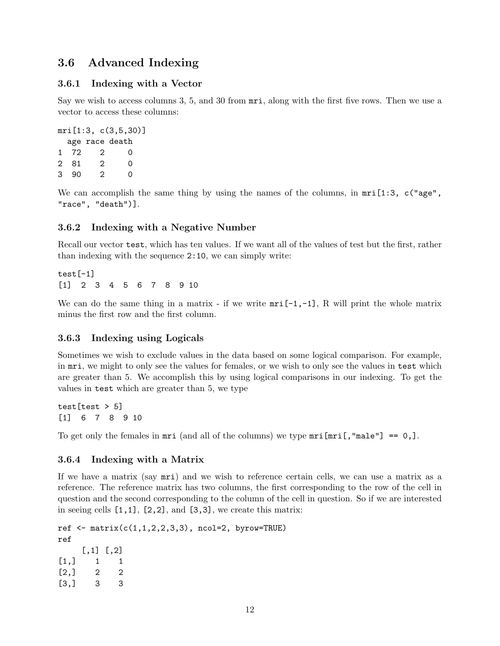### <span id="page-11-0"></span>3.6 Advanced Indexing

#### <span id="page-11-1"></span>3.6.1 Indexing with a Vector

Say we wish to access columns 3, 5, and 30 from mri, along with the first five rows. Then we use a vector to access these columns:

```
mri[1:3, c(3,5,30)]
 age race death
1 72 2 0
2 81 2 0
3 90 2 0
```
We can accomplish the same thing by using the names of the columns, in  $mri[1:3, c("age",$ "race", "death")].

#### <span id="page-11-2"></span>3.6.2 Indexing with a Negative Number

Recall our vector test, which has ten values. If we want all of the values of test but the first, rather than indexing with the sequence 2:10, we can simply write:

test[-1] [1] 2 3 4 5 6 7 8 9 10

We can do the same thing in a matrix - if we write  $mri[-1,-1]$ , R will print the whole matrix minus the first row and the first column.

#### <span id="page-11-3"></span>3.6.3 Indexing using Logicals

Sometimes we wish to exclude values in the data based on some logical comparison. For example, in mri, we might to only see the values for females, or we wish to only see the values in test which are greater than 5. We accomplish this by using logical comparisons in our indexing. To get the values in test which are greater than 5, we type

test  $[test > 5]$ [1] 6 7 8 9 10

To get only the females in  $mri$  (and all of the columns) we type  $mri[mri[, "male"] == 0,].$ 

#### <span id="page-11-4"></span>3.6.4 Indexing with a Matrix

If we have a matrix (say mri) and we wish to reference certain cells, we can use a matrix as a reference. The reference matrix has two columns, the first corresponding to the row of the cell in question and the second corresponding to the column of the cell in question. So if we are interested in seeing cells  $[1,1]$ ,  $[2,2]$ , and  $[3,3]$ , we create this matrix:

```
ref \leq matrix(c(1,1,2,2,3,3), ncol=2, byrow=TRUE)
ref
    [,1] [,2][1,] 1 1[2,] 2 2[3,] 3 3
```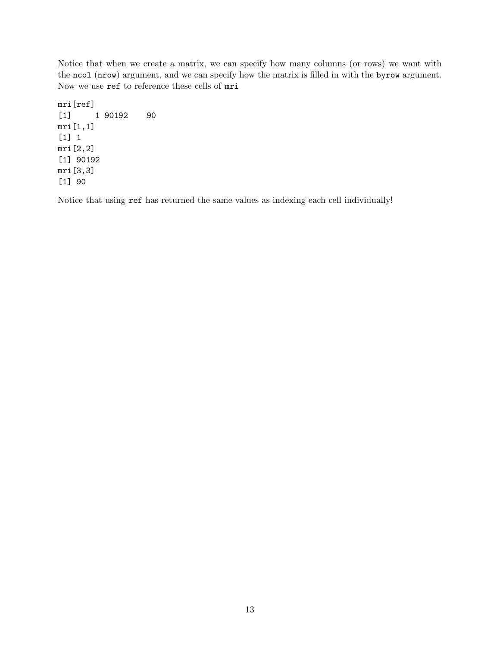Notice that when we create a matrix, we can specify how many columns (or rows) we want with the ncol (nrow) argument, and we can specify how the matrix is filled in with the byrow argument. Now we use ref to reference these cells of mri

mri[ref] [1] 1 90192 90 mri[1,1] [1] 1 mri[2,2] [1] 90192 mri[3,3] [1] 90

Notice that using ref has returned the same values as indexing each cell individually!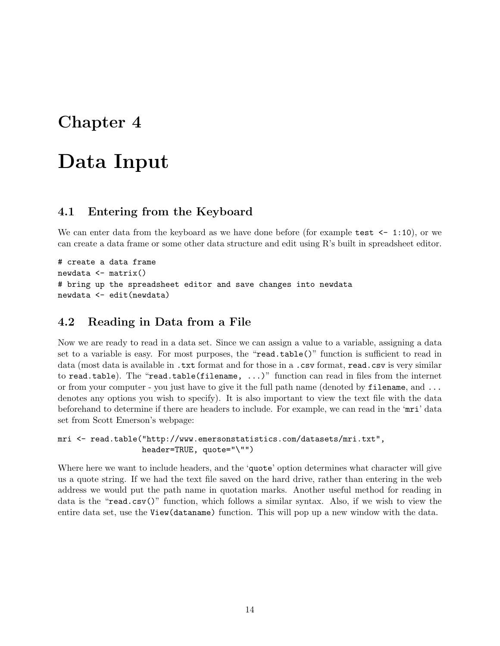# <span id="page-13-0"></span>Data Input

#### <span id="page-13-1"></span>4.1 Entering from the Keyboard

We can enter data from the keyboard as we have done before (for example test  $\leq$  1:10), or we can create a data frame or some other data structure and edit using R's built in spreadsheet editor.

```
# create a data frame
newdata <- matrix()
# bring up the spreadsheet editor and save changes into newdata
newdata <- edit(newdata)
```
### <span id="page-13-2"></span>4.2 Reading in Data from a File

Now we are ready to read in a data set. Since we can assign a value to a variable, assigning a data set to a variable is easy. For most purposes, the "read.table()" function is sufficient to read in data (most data is available in .txt format and for those in a .csv format, read.csv is very similar to read.table). The "read.table(filename, ...)" function can read in files from the internet or from your computer - you just have to give it the full path name (denoted by  $\texttt{filename}, \text{and} \ldots$ denotes any options you wish to specify). It is also important to view the text file with the data beforehand to determine if there are headers to include. For example, we can read in the 'mri' data set from Scott Emerson's webpage:

```
mri <- read.table("http://www.emersonstatistics.com/datasets/mri.txt",
                  header=TRUE, quote="\"")
```
Where here we want to include headers, and the 'quote' option determines what character will give us a quote string. If we had the text file saved on the hard drive, rather than entering in the web address we would put the path name in quotation marks. Another useful method for reading in data is the "read.csv()" function, which follows a similar syntax. Also, if we wish to view the entire data set, use the View(dataname) function. This will pop up a new window with the data.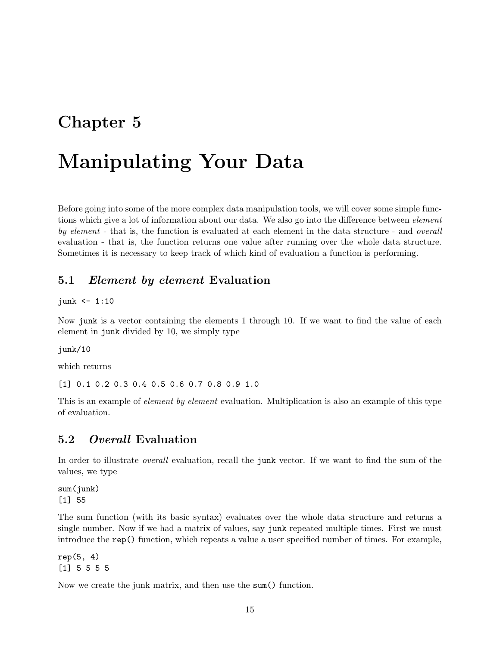# <span id="page-14-0"></span>Manipulating Your Data

Before going into some of the more complex data manipulation tools, we will cover some simple functions which give a lot of information about our data. We also go into the difference between *element* by element - that is, the function is evaluated at each element in the data structure - and *overall* evaluation - that is, the function returns one value after running over the whole data structure. Sometimes it is necessary to keep track of which kind of evaluation a function is performing.

### <span id="page-14-1"></span>5.1 Element by element Evaluation

#### junk  $\leq -1:10$

Now junk is a vector containing the elements 1 through 10. If we want to find the value of each element in junk divided by 10, we simply type

junk/10

which returns

[1] 0.1 0.2 0.3 0.4 0.5 0.6 0.7 0.8 0.9 1.0

This is an example of *element by element* evaluation. Multiplication is also an example of this type of evaluation.

### <span id="page-14-2"></span>5.2 Overall Evaluation

In order to illustrate *overall* evaluation, recall the junk vector. If we want to find the sum of the values, we type

sum(junk) [1] 55

The sum function (with its basic syntax) evaluates over the whole data structure and returns a single number. Now if we had a matrix of values, say junk repeated multiple times. First we must introduce the rep() function, which repeats a value a user specified number of times. For example,

 $rep(5, 4)$ [1] 5 5 5 5

Now we create the junk matrix, and then use the sum() function.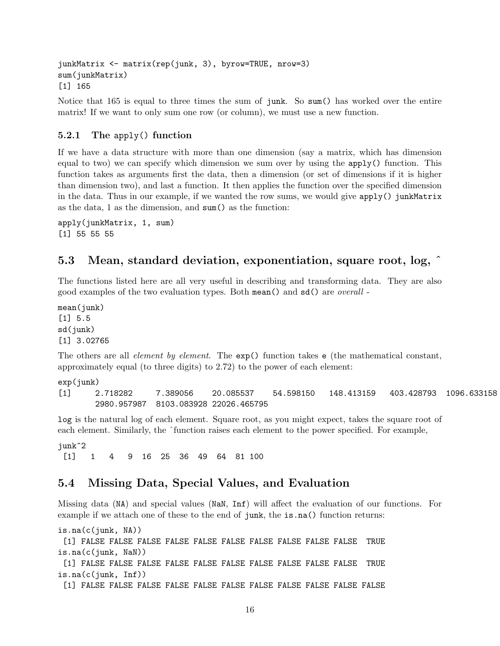```
junkMatrix <- matrix(rep(junk, 3), byrow=TRUE, nrow=3)
sum(junkMatrix)
[1] 165
```
Notice that 165 is equal to three times the sum of junk. So sum() has worked over the entire matrix! If we want to only sum one row (or column), we must use a new function.

#### <span id="page-15-0"></span>5.2.1 The apply() function

If we have a data structure with more than one dimension (say a matrix, which has dimension equal to two) we can specify which dimension we sum over by using the apply() function. This function takes as arguments first the data, then a dimension (or set of dimensions if it is higher than dimension two), and last a function. It then applies the function over the specified dimension in the data. Thus in our example, if we wanted the row sums, we would give apply() junkMatrix as the data, 1 as the dimension, and sum() as the function:

apply(junkMatrix, 1, sum) [1] 55 55 55

#### <span id="page-15-1"></span>5.3 Mean, standard deviation, exponentiation, square root, log, ˆ

The functions listed here are all very useful in describing and transforming data. They are also good examples of the two evaluation types. Both mean() and sd() are overall -

mean(junk) [1] 5.5 sd(junk) [1] 3.02765

The others are all *element by element*. The  $exp()$  function takes e (the mathematical constant, approximately equal (to three digits) to 2.72) to the power of each element:

exp(junk) [1] 2.718282 7.389056 20.085537 54.598150 148.413159 403.428793 1096.633158 2980.957987 8103.083928 22026.465795

log is the natural log of each element. Square root, as you might expect, takes the square root of each element. Similarly, the  $\hat{}$ function raises each element to the power specified. For example,

junk^2 [1] 1 4 9 16 25 36 49 64 81 100

#### <span id="page-15-2"></span>5.4 Missing Data, Special Values, and Evaluation

Missing data (NA) and special values (NaN, Inf) will affect the evaluation of our functions. For example if we attach one of these to the end of junk, the is.na() function returns:

```
is.na(c(iunk, NA))[1] FALSE FALSE FALSE FALSE FALSE FALSE FALSE FALSE FALSE FALSE TRUE
is.na(c(junk, NaN))
 [1] FALSE FALSE FALSE FALSE FALSE FALSE FALSE FALSE FALSE FALSE TRUE
is.na(c(junk, Inf))
 [1] FALSE FALSE FALSE FALSE FALSE FALSE FALSE FALSE FALSE FALSE FALSE
```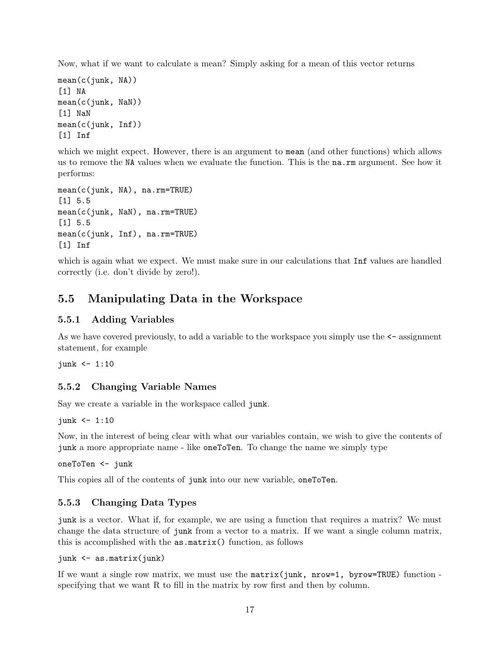Now, what if we want to calculate a mean? Simply asking for a mean of this vector returns

```
mean(c(junk, NA))
[1] NA
mean(c(junk, NaN))
[1] NaN
mean(c(junk, Inf))
[1] Inf
```
which we might expect. However, there is an argument to mean (and other functions) which allows us to remove the NA values when we evaluate the function. This is the na.rm argument. See how it performs:

```
mean(c(junk, NA), na.rm=TRUE)
[1] 5.5
mean(c(junk, NaN), na.rm=TRUE)
[1] 5.5
mean(c(junk, Inf), na.rm=TRUE)
[1] Inf
```
which is again what we expect. We must make sure in our calculations that **Inf** values are handled correctly (i.e. don't divide by zero!).

### <span id="page-16-0"></span>5.5 Manipulating Data in the Workspace

#### <span id="page-16-1"></span>5.5.1 Adding Variables

As we have covered previously, to add a variable to the workspace you simply use the  $\leq$ -assignment statement, for example

junk  $\leq -1:10$ 

#### <span id="page-16-2"></span>5.5.2 Changing Variable Names

Say we create a variable in the workspace called junk.

 $junk$  <- 1:10

Now, in the interest of being clear with what our variables contain, we wish to give the contents of junk a more appropriate name - like oneToTen. To change the name we simply type

oneToTen <- junk

This copies all of the contents of junk into our new variable, oneToTen.

### <span id="page-16-3"></span>5.5.3 Changing Data Types

junk is a vector. What if, for example, we are using a function that requires a matrix? We must change the data structure of junk from a vector to a matrix. If we want a single column matrix, this is accomplished with the as.matrix() function, as follows

```
junk <- as.matrix(junk)
```
If we want a single row matrix, we must use the  $matrix(junk, nrow=1, byrow=TRUE)$  function specifying that we want R to fill in the matrix by row first and then by column.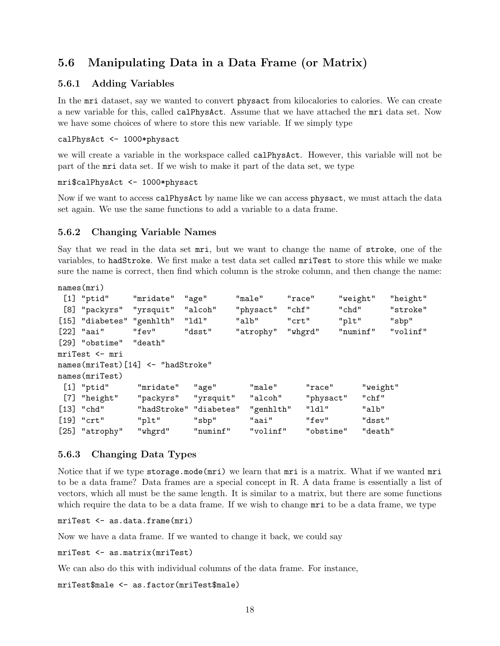### <span id="page-17-0"></span>5.6 Manipulating Data in a Data Frame (or Matrix)

#### <span id="page-17-1"></span>5.6.1 Adding Variables

In the mri dataset, say we wanted to convert physact from kilocalories to calories. We can create a new variable for this, called calPhysAct. Assume that we have attached the mri data set. Now we have some choices of where to store this new variable. If we simply type

#### calPhysAct <- 1000\*physact

we will create a variable in the workspace called calPhysAct. However, this variable will not be part of the mri data set. If we wish to make it part of the data set, we type

```
mri$calPhysAct <- 1000*physact
```
Now if we want to access calPhysAct by name like we can access physact, we must attach the data set again. We use the same functions to add a variable to a data frame.

#### <span id="page-17-2"></span>5.6.2 Changing Variable Names

Say that we read in the data set mri, but we want to change the name of stroke, one of the variables, to hadStroke. We first make a test data set called mriTest to store this while we make sure the name is correct, then find which column is the stroke column, and then change the name:

```
names(mri)
```

| $[1]$ "ptid"              | "mridate"                         | "age"     | "male"    | "race"  | "weight"  |          | "height" |
|---------------------------|-----------------------------------|-----------|-----------|---------|-----------|----------|----------|
| [8] "packyrs" "yrsquit"   |                                   | "alcoh"   | "physact" | "chf"   | "chd"     |          | "stroke" |
| [15] "diabetes" "genhlth" |                                   | "ldl"     | "alb"     | "crt"   | "plt"     |          | "sbp"    |
| $[22]$ "aai"              | "fev"                             | "dsst"    | "atrophy" | "whgrd" | "numinf"  |          | "volinf" |
| [29] "obstime" "death"    |                                   |           |           |         |           |          |          |
| mriTest <- mri            |                                   |           |           |         |           |          |          |
|                           | names(mriTest)[14] <- "hadStroke" |           |           |         |           |          |          |
| names(mriTest)            |                                   |           |           |         |           |          |          |
| $[1]$ "ptid"              | "mridate"                         | "age"     | "male"    | "race"  |           | "weight" |          |
| [7] "height"              | "packyrs"                         | "yrsquit" | "alcoh"   |         | "physact" | "chf"    |          |
| $[13]$ "chd"              | "hadStroke" "diabetes"            |           | "genhlth" | "ldl"   |           | "alb"    |          |
| $[19]$ "crt"              | "plt"                             | "sbp"     | "aai"     | "fev"   |           | "dsst"   |          |
| [25] "atrophy"            | "whgrd"                           | "numinf"  | "volinf"  |         | "obstime" | "death"  |          |

#### <span id="page-17-3"></span>5.6.3 Changing Data Types

Notice that if we type storage.mode(mri) we learn that mri is a matrix. What if we wanted mri to be a data frame? Data frames are a special concept in R. A data frame is essentially a list of vectors, which all must be the same length. It is similar to a matrix, but there are some functions which require the data to be a data frame. If we wish to change  $mri$  to be a data frame, we type

mriTest <- as.data.frame(mri)

Now we have a data frame. If we wanted to change it back, we could say

```
mriTest <- as.matrix(mriTest)
```
We can also do this with individual columns of the data frame. For instance,

```
mriTest$male <- as.factor(mriTest$male)
```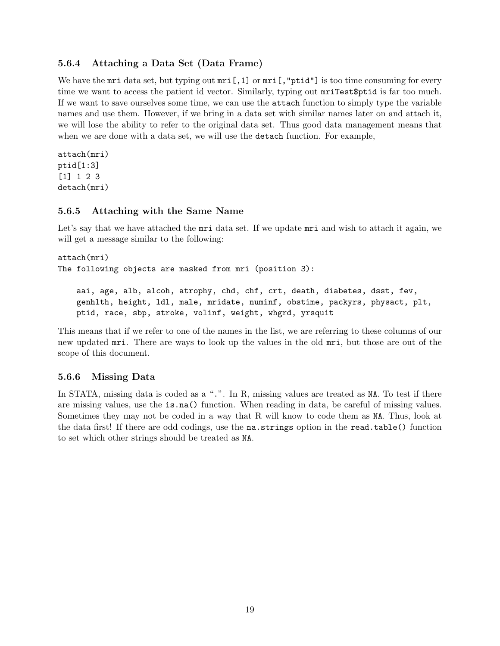#### <span id="page-18-0"></span>5.6.4 Attaching a Data Set (Data Frame)

We have the  $mri$  data set, but typing out  $mri$ ,  $1]$  or  $mri$ ,  $mri$ ,  $mri$  is too time consuming for every time we want to access the patient id vector. Similarly, typing out mriTest\$ptid is far too much. If we want to save ourselves some time, we can use the attach function to simply type the variable names and use them. However, if we bring in a data set with similar names later on and attach it, we will lose the ability to refer to the original data set. Thus good data management means that when we are done with a data set, we will use the **detach** function. For example,

```
attach(mri)
ptid[1:3]
[1] 1 2 3
detach(mri)
```
#### <span id="page-18-1"></span>5.6.5 Attaching with the Same Name

Let's say that we have attached the mri data set. If we update mri and wish to attach it again, we will get a message similar to the following:

```
attach(mri)
The following objects are masked from mri (position 3):
```
aai, age, alb, alcoh, atrophy, chd, chf, crt, death, diabetes, dsst, fev, genhlth, height, ldl, male, mridate, numinf, obstime, packyrs, physact, plt, ptid, race, sbp, stroke, volinf, weight, whgrd, yrsquit

This means that if we refer to one of the names in the list, we are referring to these columns of our new updated mri. There are ways to look up the values in the old mri, but those are out of the scope of this document.

#### <span id="page-18-2"></span>5.6.6 Missing Data

In STATA, missing data is coded as a ".". In R, missing values are treated as NA. To test if there are missing values, use the is.na() function. When reading in data, be careful of missing values. Sometimes they may not be coded in a way that R will know to code them as NA. Thus, look at the data first! If there are odd codings, use the na.strings option in the read.table() function to set which other strings should be treated as NA.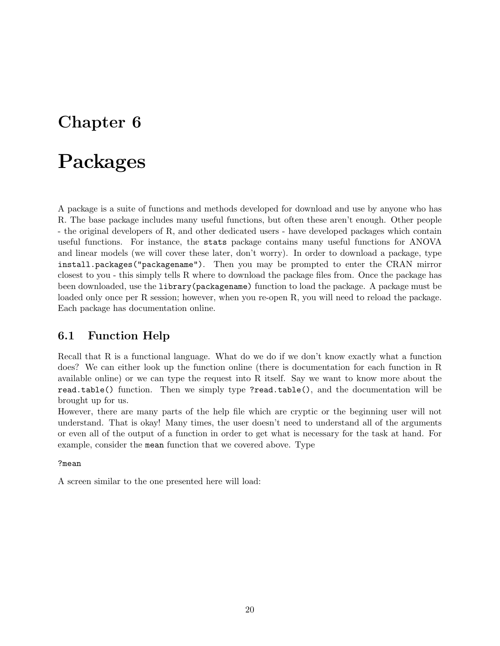# <span id="page-19-0"></span>Packages

A package is a suite of functions and methods developed for download and use by anyone who has R. The base package includes many useful functions, but often these aren't enough. Other people - the original developers of R, and other dedicated users - have developed packages which contain useful functions. For instance, the stats package contains many useful functions for ANOVA and linear models (we will cover these later, don't worry). In order to download a package, type install.packages("packagename"). Then you may be prompted to enter the CRAN mirror closest to you - this simply tells R where to download the package files from. Once the package has been downloaded, use the library(packagename) function to load the package. A package must be loaded only once per R session; however, when you re-open R, you will need to reload the package. Each package has documentation online.

### <span id="page-19-1"></span>6.1 Function Help

Recall that R is a functional language. What do we do if we don't know exactly what a function does? We can either look up the function online (there is documentation for each function in R available online) or we can type the request into R itself. Say we want to know more about the read.table() function. Then we simply type ?read.table(), and the documentation will be brought up for us.

However, there are many parts of the help file which are cryptic or the beginning user will not understand. That is okay! Many times, the user doesn't need to understand all of the arguments or even all of the output of a function in order to get what is necessary for the task at hand. For example, consider the mean function that we covered above. Type

#### ?mean

A screen similar to the one presented here will load: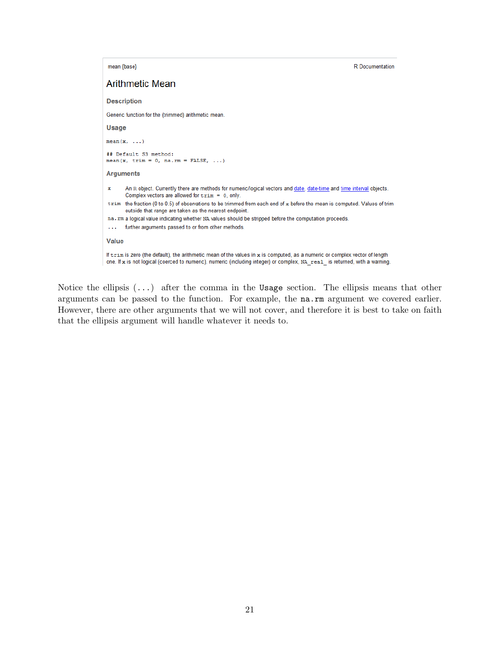mean {base} **R** Documentation **Arithmetic Mean Description** Generic function for the (trimmed) arithmetic mean. Usage  $mean(x, \ldots)$ ## Default S3 method: mean (x, trim =  $0$ , na.rm = FALSE, ...) **Arguments** An R object. Currently there are methods for numeric/logical vectors and date, date-time and time interval objects.  $\mathbf x$ Complex vectors are allowed for  $\text{trim} = 0$ , only. trim the fraction (0 to 0.5) of observations to be trimmed from each end of x before the mean is computed. Values of trim outside that range are taken as the nearest endpoint. na. rm a logical value indicating whether NA values should be stripped before the computation proceeds. ... further arguments passed to or from other methods. Value If trim is zero (the default), the arithmetic mean of the values in x is computed, as a numeric or complex vector of length one. If x is not logical (coerced to numeric), numeric (including integer) or complex, NA real is returned, with a warning.

Notice the ellipsis  $(\ldots)$  after the comma in the Usage section. The ellipsis means that other arguments can be passed to the function. For example, the na.rm argument we covered earlier. However, there are other arguments that we will not cover, and therefore it is best to take on faith that the ellipsis argument will handle whatever it needs to.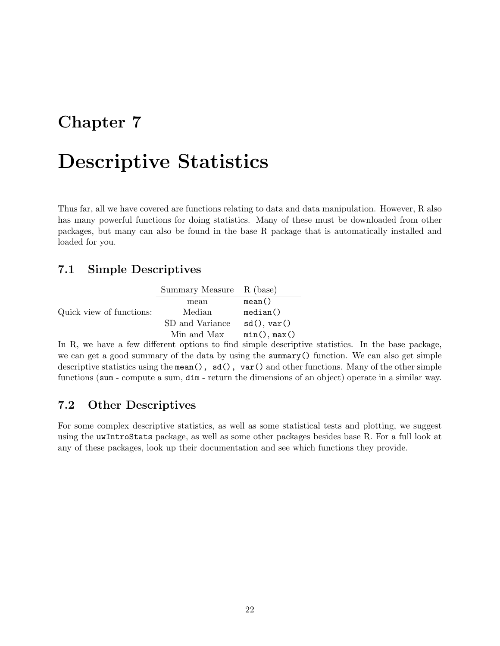# <span id="page-21-0"></span>Descriptive Statistics

Thus far, all we have covered are functions relating to data and data manipulation. However, R also has many powerful functions for doing statistics. Many of these must be downloaded from other packages, but many can also be found in the base R package that is automatically installed and loaded for you.

### <span id="page-21-1"></span>7.1 Simple Descriptives

|                          | Summary Measure   R (base) |              |
|--------------------------|----------------------------|--------------|
|                          | mean                       | mean()       |
| Quick view of functions: | Median                     | median()     |
|                          | SD and Variance            | sd(), var()  |
|                          | Min and Max                | min(), max() |

In R, we have a few different options to find simple descriptive statistics. In the base package, we can get a good summary of the data by using the summary() function. We can also get simple descriptive statistics using the mean(),  $sd()$ ,  $var()$  and other functions. Many of the other simple functions (sum - compute a sum, dim - return the dimensions of an object) operate in a similar way.

### <span id="page-21-2"></span>7.2 Other Descriptives

For some complex descriptive statistics, as well as some statistical tests and plotting, we suggest using the uwIntroStats package, as well as some other packages besides base R. For a full look at any of these packages, look up their documentation and see which functions they provide.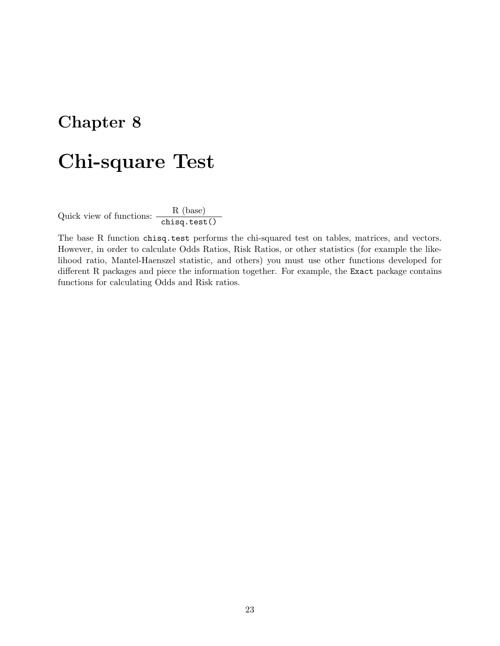# <span id="page-22-0"></span>Chi-square Test

Quick view of functions:  $\frac{R \text{ (base)}}{\text{chisq.test()}}$ 

The base R function chisq.test performs the chi-squared test on tables, matrices, and vectors. However, in order to calculate Odds Ratios, Risk Ratios, or other statistics (for example the likelihood ratio, Mantel-Haenszel statistic, and others) you must use other functions developed for different R packages and piece the information together. For example, the Exact package contains functions for calculating Odds and Risk ratios.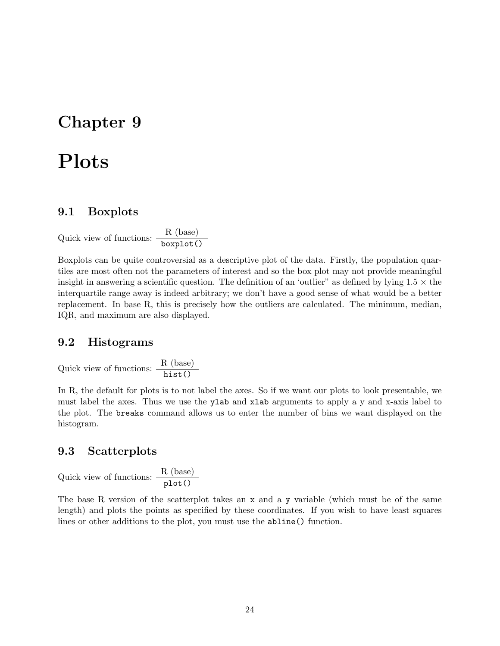# <span id="page-23-0"></span>Plots

#### <span id="page-23-1"></span>9.1 Boxplots

Quick view of functions:  $\frac{R (\text{base})}{\text{boxplot}(\text{)}}$ 

Boxplots can be quite controversial as a descriptive plot of the data. Firstly, the population quartiles are most often not the parameters of interest and so the box plot may not provide meaningful insight in answering a scientific question. The definition of an 'outlier" as defined by lying  $1.5 \times$  the interquartile range away is indeed arbitrary; we don't have a good sense of what would be a better replacement. In base R, this is precisely how the outliers are calculated. The minimum, median, IQR, and maximum are also displayed.

### <span id="page-23-2"></span>9.2 Histograms

Quick view of functions:  $\frac{R \text{ (base)}}{\text{hist}}$ 

In R, the default for plots is to not label the axes. So if we want our plots to look presentable, we must label the axes. Thus we use the ylab and xlab arguments to apply a y and x-axis label to the plot. The breaks command allows us to enter the number of bins we want displayed on the histogram.

#### <span id="page-23-3"></span>9.3 Scatterplots

Quick view of functions:  $\frac{R (\text{base})}{\text{plot}()}$ 

The base R version of the scatterplot takes an x and a y variable (which must be of the same length) and plots the points as specified by these coordinates. If you wish to have least squares lines or other additions to the plot, you must use the abline() function.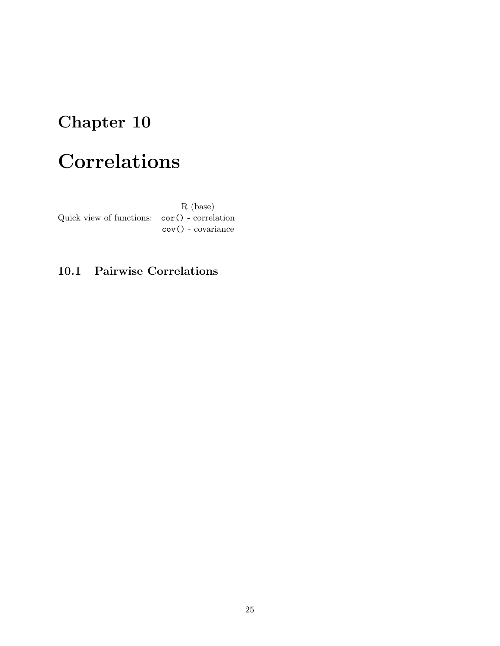# <span id="page-24-0"></span>Correlations

Quick view of functions: cor() - correlation R (base) cov() - covariance

### <span id="page-24-1"></span>10.1 Pairwise Correlations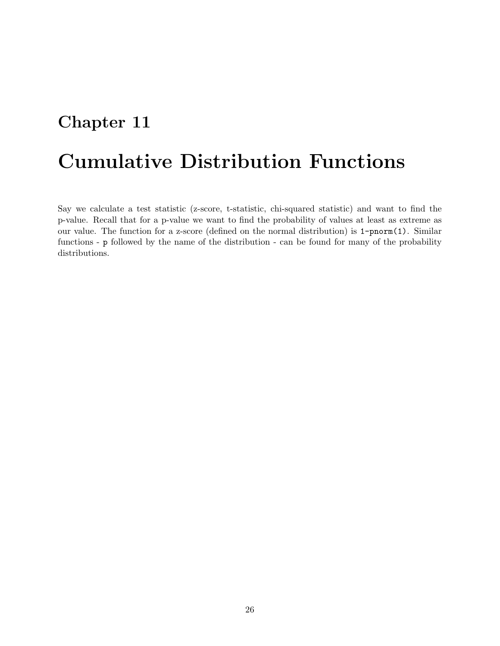# <span id="page-25-0"></span>Cumulative Distribution Functions

Say we calculate a test statistic (z-score, t-statistic, chi-squared statistic) and want to find the p-value. Recall that for a p-value we want to find the probability of values at least as extreme as our value. The function for a z-score (defined on the normal distribution) is 1-pnorm(1). Similar functions - p followed by the name of the distribution - can be found for many of the probability distributions.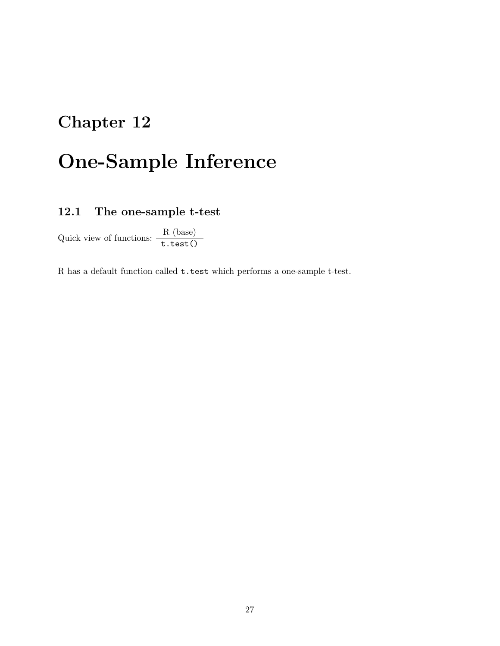# <span id="page-26-0"></span>One-Sample Inference

### <span id="page-26-1"></span>12.1 The one-sample t-test

Quick view of functions:  $\frac{R \text{ (base)}}{\text{t.test()}}$ 

R has a default function called t.test which performs a one-sample t-test.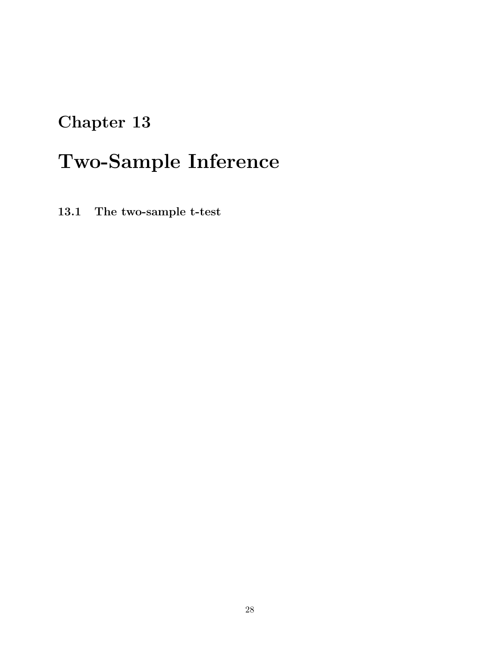# <span id="page-27-0"></span>Two-Sample Inference

<span id="page-27-1"></span>13.1 The two-sample t-test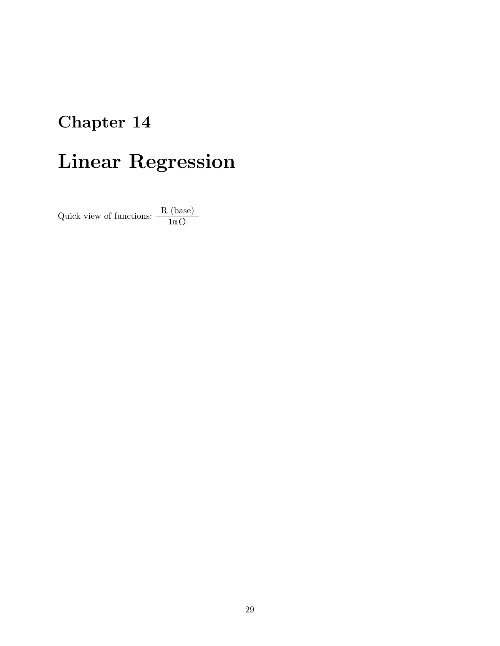# <span id="page-28-0"></span>Linear Regression

Quick view of functions:  $\frac{R \text{ (base)}}{\ln()}$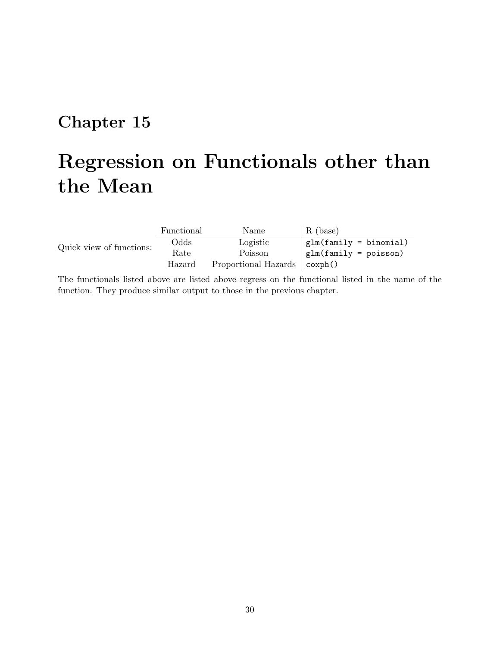# <span id="page-29-0"></span>Regression on Functionals other than the Mean

|                          | Functional | Name                 | R (base)                 |
|--------------------------|------------|----------------------|--------------------------|
| Quick view of functions: | Odds       | Logistic             | $glm(family = binomial)$ |
|                          | Rate       | Poisson              | $glm(family = poisson)$  |
|                          | Hazard     | Proportional Hazards | coxph()                  |

The functionals listed above are listed above regress on the functional listed in the name of the function. They produce similar output to those in the previous chapter.